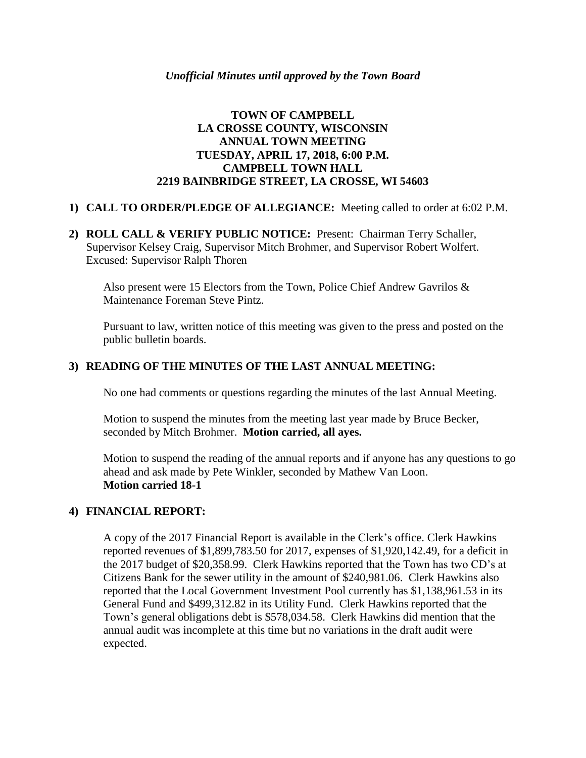# **TOWN OF CAMPBELL LA CROSSE COUNTY, WISCONSIN ANNUAL TOWN MEETING TUESDAY, APRIL 17, 2018, 6:00 P.M. CAMPBELL TOWN HALL 2219 BAINBRIDGE STREET, LA CROSSE, WI 54603**

# **1) CALL TO ORDER/PLEDGE OF ALLEGIANCE:** Meeting called to order at 6:02 P.M.

**2) ROLL CALL & VERIFY PUBLIC NOTICE:** Present: Chairman Terry Schaller, Supervisor Kelsey Craig, Supervisor Mitch Brohmer, and Supervisor Robert Wolfert. Excused: Supervisor Ralph Thoren

Also present were 15 Electors from the Town, Police Chief Andrew Gavrilos & Maintenance Foreman Steve Pintz.

Pursuant to law, written notice of this meeting was given to the press and posted on the public bulletin boards.

# **3) READING OF THE MINUTES OF THE LAST ANNUAL MEETING:**

No one had comments or questions regarding the minutes of the last Annual Meeting.

Motion to suspend the minutes from the meeting last year made by Bruce Becker, seconded by Mitch Brohmer. **Motion carried, all ayes.**

Motion to suspend the reading of the annual reports and if anyone has any questions to go ahead and ask made by Pete Winkler, seconded by Mathew Van Loon. **Motion carried 18-1**

## **4) FINANCIAL REPORT:**

A copy of the 2017 Financial Report is available in the Clerk's office. Clerk Hawkins reported revenues of \$1,899,783.50 for 2017, expenses of \$1,920,142.49, for a deficit in the 2017 budget of \$20,358.99. Clerk Hawkins reported that the Town has two CD's at Citizens Bank for the sewer utility in the amount of \$240,981.06. Clerk Hawkins also reported that the Local Government Investment Pool currently has \$1,138,961.53 in its General Fund and \$499,312.82 in its Utility Fund. Clerk Hawkins reported that the Town's general obligations debt is \$578,034.58. Clerk Hawkins did mention that the annual audit was incomplete at this time but no variations in the draft audit were expected.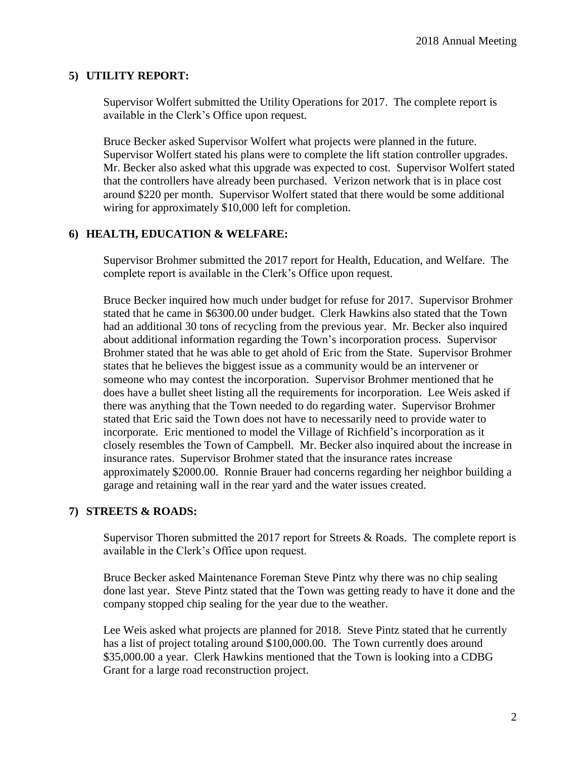# **5) UTILITY REPORT:**

Supervisor Wolfert submitted the Utility Operations for 2017. The complete report is available in the Clerk's Office upon request.

Bruce Becker asked Supervisor Wolfert what projects were planned in the future. Supervisor Wolfert stated his plans were to complete the lift station controller upgrades. Mr. Becker also asked what this upgrade was expected to cost. Supervisor Wolfert stated that the controllers have already been purchased. Verizon network that is in place cost around \$220 per month. Supervisor Wolfert stated that there would be some additional wiring for approximately \$10,000 left for completion.

# **6) HEALTH, EDUCATION & WELFARE:**

Supervisor Brohmer submitted the 2017 report for Health, Education, and Welfare. The complete report is available in the Clerk's Office upon request.

Bruce Becker inquired how much under budget for refuse for 2017. Supervisor Brohmer stated that he came in \$6300.00 under budget. Clerk Hawkins also stated that the Town had an additional 30 tons of recycling from the previous year. Mr. Becker also inquired about additional information regarding the Town's incorporation process. Supervisor Brohmer stated that he was able to get ahold of Eric from the State. Supervisor Brohmer states that he believes the biggest issue as a community would be an intervener or someone who may contest the incorporation. Supervisor Brohmer mentioned that he does have a bullet sheet listing all the requirements for incorporation. Lee Weis asked if there was anything that the Town needed to do regarding water. Supervisor Brohmer stated that Eric said the Town does not have to necessarily need to provide water to incorporate. Eric mentioned to model the Village of Richfield's incorporation as it closely resembles the Town of Campbell. Mr. Becker also inquired about the increase in insurance rates. Supervisor Brohmer stated that the insurance rates increase approximately \$2000.00. Ronnie Brauer had concerns regarding her neighbor building a garage and retaining wall in the rear yard and the water issues created.

## **7) STREETS & ROADS:**

Supervisor Thoren submitted the 2017 report for Streets  $\&$  Roads. The complete report is available in the Clerk's Office upon request.

Bruce Becker asked Maintenance Foreman Steve Pintz why there was no chip sealing done last year. Steve Pintz stated that the Town was getting ready to have it done and the company stopped chip sealing for the year due to the weather.

Lee Weis asked what projects are planned for 2018. Steve Pintz stated that he currently has a list of project totaling around \$100,000.00. The Town currently does around \$35,000.00 a year. Clerk Hawkins mentioned that the Town is looking into a CDBG Grant for a large road reconstruction project.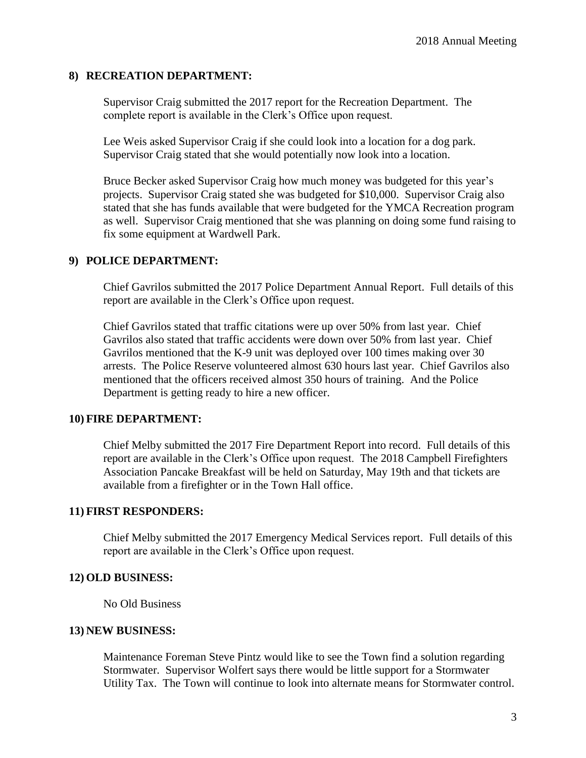## **8) RECREATION DEPARTMENT:**

Supervisor Craig submitted the 2017 report for the Recreation Department. The complete report is available in the Clerk's Office upon request.

Lee Weis asked Supervisor Craig if she could look into a location for a dog park. Supervisor Craig stated that she would potentially now look into a location.

Bruce Becker asked Supervisor Craig how much money was budgeted for this year's projects. Supervisor Craig stated she was budgeted for \$10,000. Supervisor Craig also stated that she has funds available that were budgeted for the YMCA Recreation program as well. Supervisor Craig mentioned that she was planning on doing some fund raising to fix some equipment at Wardwell Park.

# **9) POLICE DEPARTMENT:**

Chief Gavrilos submitted the 2017 Police Department Annual Report. Full details of this report are available in the Clerk's Office upon request.

Chief Gavrilos stated that traffic citations were up over 50% from last year. Chief Gavrilos also stated that traffic accidents were down over 50% from last year. Chief Gavrilos mentioned that the K-9 unit was deployed over 100 times making over 30 arrests. The Police Reserve volunteered almost 630 hours last year. Chief Gavrilos also mentioned that the officers received almost 350 hours of training. And the Police Department is getting ready to hire a new officer.

## **10) FIRE DEPARTMENT:**

Chief Melby submitted the 2017 Fire Department Report into record. Full details of this report are available in the Clerk's Office upon request. The 2018 Campbell Firefighters Association Pancake Breakfast will be held on Saturday, May 19th and that tickets are available from a firefighter or in the Town Hall office.

## **11) FIRST RESPONDERS:**

Chief Melby submitted the 2017 Emergency Medical Services report. Full details of this report are available in the Clerk's Office upon request.

## **12) OLD BUSINESS:**

No Old Business

## **13) NEW BUSINESS:**

Maintenance Foreman Steve Pintz would like to see the Town find a solution regarding Stormwater. Supervisor Wolfert says there would be little support for a Stormwater Utility Tax. The Town will continue to look into alternate means for Stormwater control.